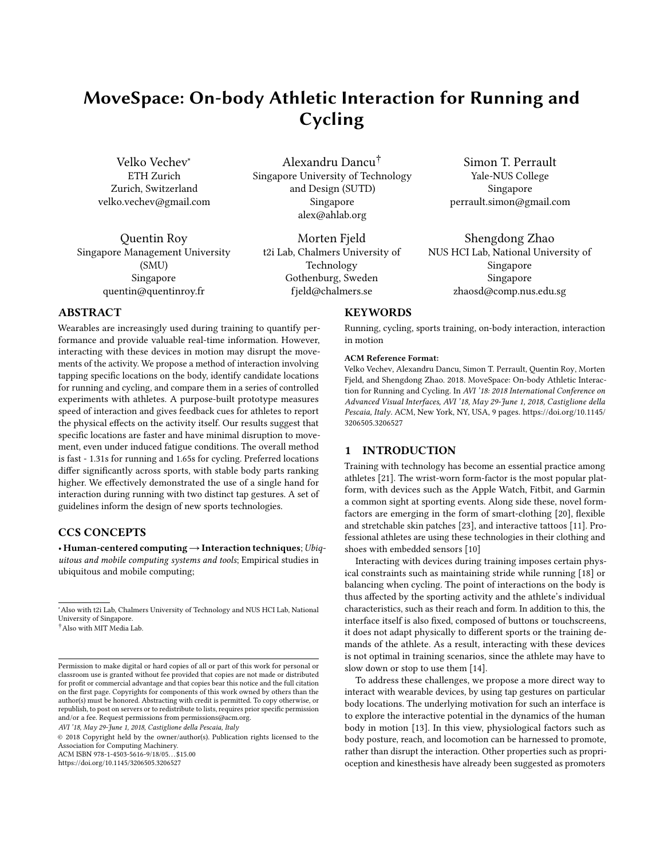# MoveSpace: On-body Athletic Interaction for Running and Cycling

Velko Vechev<sup>∗</sup> ETH Zurich Zurich, Switzerland velko.vechev@gmail.com

Quentin Roy Singapore Management University (SMU) Singapore quentin@quentinroy.fr

Alexandru Dancu† Singapore University of Technology and Design (SUTD) Singapore alex@ahlab.org

Morten Fjeld t2i Lab, Chalmers University of Technology Gothenburg, Sweden fjeld@chalmers.se

Simon T. Perrault Yale-NUS College Singapore perrault.simon@gmail.com

Shengdong Zhao NUS HCI Lab, National University of Singapore Singapore zhaosd@comp.nus.edu.sg

# ABSTRACT

Wearables are increasingly used during training to quantify performance and provide valuable real-time information. However, interacting with these devices in motion may disrupt the movements of the activity. We propose a method of interaction involving tapping specific locations on the body, identify candidate locations for running and cycling, and compare them in a series of controlled experiments with athletes. A purpose-built prototype measures speed of interaction and gives feedback cues for athletes to report the physical effects on the activity itself. Our results suggest that specific locations are faster and have minimal disruption to movement, even under induced fatigue conditions. The overall method is fast - 1.31s for running and 1.65s for cycling. Preferred locations differ significantly across sports, with stable body parts ranking higher. We effectively demonstrated the use of a single hand for interaction during running with two distinct tap gestures. A set of guidelines inform the design of new sports technologies.

#### CCS CONCEPTS

• Human-centered computing→Interaction techniques; Ubiquitous and mobile computing systems and tools; Empirical studies in ubiquitous and mobile computing;

AVI '18, May 29-June 1, 2018, Castiglione della Pescaia, Italy

© 2018 Copyright held by the owner/author(s). Publication rights licensed to the Association for Computing Machinery. ACM ISBN 978-1-4503-5616-9/18/05. . . \$15.00

<https://doi.org/10.1145/3206505.3206527>

# **KEYWORDS**

Running, cycling, sports training, on-body interaction, interaction in motion

#### ACM Reference Format:

Velko Vechev, Alexandru Dancu, Simon T. Perrault, Quentin Roy, Morten Fjeld, and Shengdong Zhao. 2018. MoveSpace: On-body Athletic Interaction for Running and Cycling. In AVI '18: 2018 International Conference on Advanced Visual Interfaces, AVI '18, May 29-June 1, 2018, Castiglione della Pescaia, Italy. ACM, New York, NY, USA, [9](#page-8-0) pages. [https://doi.org/10.1145/](https://doi.org/10.1145/3206505.3206527) [3206505.3206527](https://doi.org/10.1145/3206505.3206527)

#### 1 INTRODUCTION

Training with technology has become an essential practice among athletes [\[21\]](#page-8-1). The wrist-worn form-factor is the most popular platform, with devices such as the Apple Watch, Fitbit, and Garmin a common sight at sporting events. Along side these, novel formfactors are emerging in the form of smart-clothing [\[20\]](#page-8-2), flexible and stretchable skin patches [\[23\]](#page-8-3), and interactive tattoos [\[11\]](#page-8-4). Professional athletes are using these technologies in their clothing and shoes with embedded sensors [\[10\]](#page-8-5)

Interacting with devices during training imposes certain physical constraints such as maintaining stride while running [\[18\]](#page-8-6) or balancing when cycling. The point of interactions on the body is thus affected by the sporting activity and the athlete's individual characteristics, such as their reach and form. In addition to this, the interface itself is also fixed, composed of buttons or touchscreens, it does not adapt physically to different sports or the training demands of the athlete. As a result, interacting with these devices is not optimal in training scenarios, since the athlete may have to slow down or stop to use them [\[14\]](#page-8-7).

To address these challenges, we propose a more direct way to interact with wearable devices, by using tap gestures on particular body locations. The underlying motivation for such an interface is to explore the interactive potential in the dynamics of the human body in motion [\[13\]](#page-8-8). In this view, physiological factors such as body posture, reach, and locomotion can be harnessed to promote, rather than disrupt the interaction. Other properties such as proprioception and kinesthesis have already been suggested as promoters

<sup>∗</sup>Also with t2i Lab, Chalmers University of Technology and NUS HCI Lab, National University of Singapore.

<sup>†</sup>Also with MIT Media Lab.

Permission to make digital or hard copies of all or part of this work for personal or classroom use is granted without fee provided that copies are not made or distributed for profit or commercial advantage and that copies bear this notice and the full citation on the first page. Copyrights for components of this work owned by others than the author(s) must be honored. Abstracting with credit is permitted. To copy otherwise, or republish, to post on servers or to redistribute to lists, requires prior specific permission and/or a fee. Request permissions from permissions@acm.org.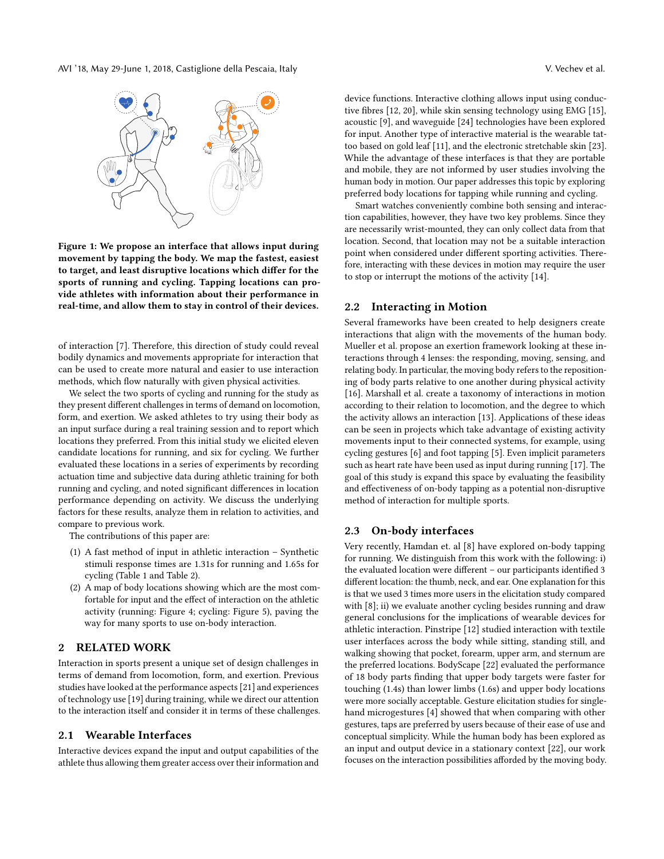AVI '18, May 29-June 1, 2018, Castiglione della Pescaia, Italy V. Vechev et al.



Figure 1: We propose an interface that allows input during movement by tapping the body. We map the fastest, easiest to target, and least disruptive locations which differ for the sports of running and cycling. Tapping locations can provide athletes with information about their performance in real-time, and allow them to stay in control of their devices.

of interaction [\[7\]](#page-8-9). Therefore, this direction of study could reveal bodily dynamics and movements appropriate for interaction that can be used to create more natural and easier to use interaction methods, which flow naturally with given physical activities.

We select the two sports of cycling and running for the study as they present different challenges in terms of demand on locomotion, form, and exertion. We asked athletes to try using their body as an input surface during a real training session and to report which locations they preferred. From this initial study we elicited eleven candidate locations for running, and six for cycling. We further evaluated these locations in a series of experiments by recording actuation time and subjective data during athletic training for both running and cycling, and noted significant differences in location performance depending on activity. We discuss the underlying factors for these results, analyze them in relation to activities, and compare to previous work.

The contributions of this paper are:

- (1) A fast method of input in athletic interaction Synthetic stimuli response times are 1.31s for running and 1.65s for cycling (Table [1](#page-5-0) and Table [2\)](#page-6-0).
- (2) A map of body locations showing which are the most comfortable for input and the effect of interaction on the athletic activity (running: Figure [4;](#page-4-0) cycling: Figure [5\)](#page-6-1), paving the way for many sports to use on-body interaction.

### 2 RELATED WORK

Interaction in sports present a unique set of design challenges in terms of demand from locomotion, form, and exertion. Previous studies have looked at the performance aspects [\[21\]](#page-8-1) and experiences of technology use [\[19\]](#page-8-10) during training, while we direct our attention to the interaction itself and consider it in terms of these challenges.

#### 2.1 Wearable Interfaces

Interactive devices expand the input and output capabilities of the athlete thus allowing them greater access over their information and

device functions. Interactive clothing allows input using conductive fibres [\[12,](#page-8-11) [20\]](#page-8-2), while skin sensing technology using EMG [\[15\]](#page-8-12), acoustic [\[9\]](#page-8-13), and waveguide [\[24\]](#page-8-14) technologies have been explored for input. Another type of interactive material is the wearable tattoo based on gold leaf [\[11\]](#page-8-4), and the electronic stretchable skin [\[23\]](#page-8-3). While the advantage of these interfaces is that they are portable and mobile, they are not informed by user studies involving the human body in motion. Our paper addresses this topic by exploring preferred body locations for tapping while running and cycling.

Smart watches conveniently combine both sensing and interaction capabilities, however, they have two key problems. Since they are necessarily wrist-mounted, they can only collect data from that location. Second, that location may not be a suitable interaction point when considered under different sporting activities. Therefore, interacting with these devices in motion may require the user to stop or interrupt the motions of the activity [\[14\]](#page-8-7).

#### 2.2 Interacting in Motion

Several frameworks have been created to help designers create interactions that align with the movements of the human body. Mueller et al. propose an exertion framework looking at these interactions through 4 lenses: the responding, moving, sensing, and relating body. In particular, the moving body refers to the repositioning of body parts relative to one another during physical activity [\[16\]](#page-8-15). Marshall et al. create a taxonomy of interactions in motion according to their relation to locomotion, and the degree to which the activity allows an interaction [\[13\]](#page-8-8). Applications of these ideas can be seen in projects which take advantage of existing activity movements input to their connected systems, for example, using cycling gestures [\[6\]](#page-8-16) and foot tapping [\[5\]](#page-8-17). Even implicit parameters such as heart rate have been used as input during running [\[17\]](#page-8-18). The goal of this study is expand this space by evaluating the feasibility and effectiveness of on-body tapping as a potential non-disruptive method of interaction for multiple sports.

#### 2.3 On-body interfaces

Very recently, Hamdan et. al [\[8\]](#page-8-19) have explored on-body tapping for running. We distinguish from this work with the following: i) the evaluated location were different – our participants identified 3 different location: the thumb, neck, and ear. One explanation for this is that we used 3 times more users in the elicitation study compared with [\[8\]](#page-8-19); ii) we evaluate another cycling besides running and draw general conclusions for the implications of wearable devices for athletic interaction. Pinstripe [\[12\]](#page-8-11) studied interaction with textile user interfaces across the body while sitting, standing still, and walking showing that pocket, forearm, upper arm, and sternum are the preferred locations. BodyScape [\[22\]](#page-8-20) evaluated the performance of 18 body parts finding that upper body targets were faster for touching (1.4s) than lower limbs (1.6s) and upper body locations were more socially acceptable. Gesture elicitation studies for singlehand microgestures [\[4\]](#page-7-0) showed that when comparing with other gestures, taps are preferred by users because of their ease of use and conceptual simplicity. While the human body has been explored as an input and output device in a stationary context [\[22\]](#page-8-20), our work focuses on the interaction possibilities afforded by the moving body.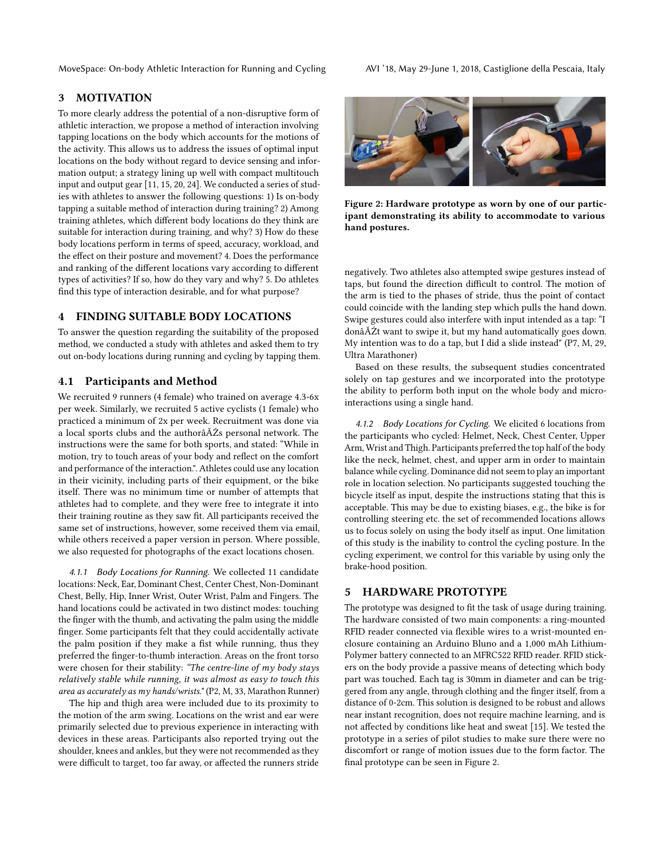# 3 MOTIVATION

To more clearly address the potential of a non-disruptive form of athletic interaction, we propose a method of interaction involving tapping locations on the body which accounts for the motions of the activity. This allows us to address the issues of optimal input locations on the body without regard to device sensing and information output; a strategy lining up well with compact multitouch input and output gear [\[11,](#page-8-4) [15,](#page-8-12) [20,](#page-8-2) [24\]](#page-8-14). We conducted a series of studies with athletes to answer the following questions: 1) Is on-body tapping a suitable method of interaction during training? 2) Among training athletes, which different body locations do they think are suitable for interaction during training, and why? 3) How do these body locations perform in terms of speed, accuracy, workload, and the effect on their posture and movement? 4. Does the performance and ranking of the different locations vary according to different types of activities? If so, how do they vary and why? 5. Do athletes find this type of interaction desirable, and for what purpose?

# 4 FINDING SUITABLE BODY LOCATIONS

To answer the question regarding the suitability of the proposed method, we conducted a study with athletes and asked them to try out on-body locations during running and cycling by tapping them.

# 4.1 Participants and Method

We recruited 9 runners (4 female) who trained on average 4.3-6x per week. Similarly, we recruited 5 active cyclists (1 female) who practiced a minimum of 2x per week. Recruitment was done via a local sports clubs and the authorâĂŹs personal network. The instructions were the same for both sports, and stated: "While in motion, try to touch areas of your body and reflect on the comfort and performance of the interaction.". Athletes could use any location in their vicinity, including parts of their equipment, or the bike itself. There was no minimum time or number of attempts that athletes had to complete, and they were free to integrate it into their training routine as they saw fit. All participants received the same set of instructions, however, some received them via email, while others received a paper version in person. Where possible, we also requested for photographs of the exact locations chosen.

4.1.1 Body Locations for Running. We collected 11 candidate locations: Neck, Ear, Dominant Chest, Center Chest, Non-Dominant Chest, Belly, Hip, Inner Wrist, Outer Wrist, Palm and Fingers. The hand locations could be activated in two distinct modes: touching the finger with the thumb, and activating the palm using the middle finger. Some participants felt that they could accidentally activate the palm position if they make a fist while running, thus they preferred the finger-to-thumb interaction. Areas on the front torso were chosen for their stability: "The centre-line of my body stays relatively stable while running, it was almost as easy to touch this area as accurately as my hands/wrists." (P2, M, 33, Marathon Runner)

The hip and thigh area were included due to its proximity to the motion of the arm swing. Locations on the wrist and ear were primarily selected due to previous experience in interacting with devices in these areas. Participants also reported trying out the shoulder, knees and ankles, but they were not recommended as they were difficult to target, too far away, or affected the runners stride

<span id="page-2-0"></span>

Figure 2: Hardware prototype as worn by one of our participant demonstrating its ability to accommodate to various hand postures.

negatively. Two athletes also attempted swipe gestures instead of taps, but found the direction difficult to control. The motion of the arm is tied to the phases of stride, thus the point of contact could coincide with the landing step which pulls the hand down. Swipe gestures could also interfere with input intended as a tap: "I donâĂŹt want to swipe it, but my hand automatically goes down. My intention was to do a tap, but I did a slide instead" (P7, M, 29, Ultra Marathoner)

Based on these results, the subsequent studies concentrated solely on tap gestures and we incorporated into the prototype the ability to perform both input on the whole body and microinteractions using a single hand.

4.1.2 Body Locations for Cycling. We elicited 6 locations from the participants who cycled: Helmet, Neck, Chest Center, Upper Arm, Wrist and Thigh. Participants preferred the top half of the body like the neck, helmet, chest, and upper arm in order to maintain balance while cycling. Dominance did not seem to play an important role in location selection. No participants suggested touching the bicycle itself as input, despite the instructions stating that this is acceptable. This may be due to existing biases, e.g., the bike is for controlling steering etc. the set of recommended locations allows us to focus solely on using the body itself as input. One limitation of this study is the inability to control the cycling posture. In the cycling experiment, we control for this variable by using only the brake-hood position.

#### 5 HARDWARE PROTOTYPE

The prototype was designed to fit the task of usage during training. The hardware consisted of two main components: a ring-mounted RFID reader connected via flexible wires to a wrist-mounted enclosure containing an Arduino Bluno and a 1,000 mAh Lithium-Polymer battery connected to an MFRC522 RFID reader. RFID stickers on the body provide a passive means of detecting which body part was touched. Each tag is 30mm in diameter and can be triggered from any angle, through clothing and the finger itself, from a distance of 0-2cm. This solution is designed to be robust and allows near instant recognition, does not require machine learning, and is not affected by conditions like heat and sweat [\[15\]](#page-8-12). We tested the prototype in a series of pilot studies to make sure there were no discomfort or range of motion issues due to the form factor. The final prototype can be seen in Figure [2.](#page-2-0)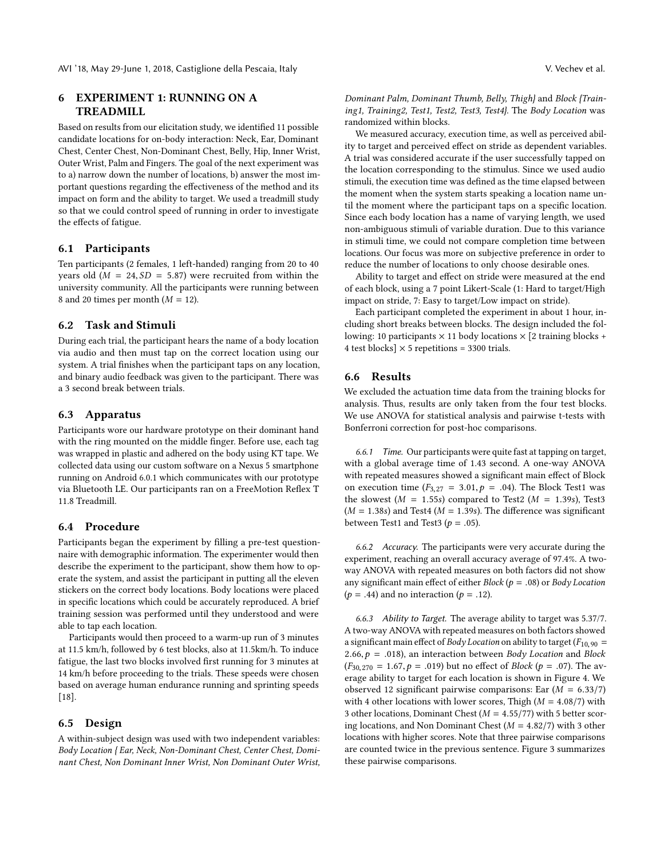# 6 EXPERIMENT 1: RUNNING ON A TREADMILL

Based on results from our elicitation study, we identified 11 possible candidate locations for on-body interaction: Neck, Ear, Dominant Chest, Center Chest, Non-Dominant Chest, Belly, Hip, Inner Wrist, Outer Wrist, Palm and Fingers. The goal of the next experiment was to a) narrow down the number of locations, b) answer the most important questions regarding the effectiveness of the method and its impact on form and the ability to target. We used a treadmill study so that we could control speed of running in order to investigate the effects of fatigue.

#### 6.1 Participants

Ten participants (2 females, 1 left-handed) ranging from 20 to 40 years old  $(M = 24, SD = 5.87)$  were recruited from within the university community. All the participants were running between 8 and 20 times per month  $(M = 12)$ .

#### 6.2 Task and Stimuli

During each trial, the participant hears the name of a body location via audio and then must tap on the correct location using our system. A trial finishes when the participant taps on any location, and binary audio feedback was given to the participant. There was a 3 second break between trials.

#### 6.3 Apparatus

Participants wore our hardware prototype on their dominant hand with the ring mounted on the middle finger. Before use, each tag was wrapped in plastic and adhered on the body using KT tape. We collected data using our custom software on a Nexus 5 smartphone running on Android 6.0.1 which communicates with our prototype via Bluetooth LE. Our participants ran on a FreeMotion Reflex T 11.8 Treadmill.

#### 6.4 Procedure

Participants began the experiment by filling a pre-test questionnaire with demographic information. The experimenter would then describe the experiment to the participant, show them how to operate the system, and assist the participant in putting all the eleven stickers on the correct body locations. Body locations were placed in specific locations which could be accurately reproduced. A brief training session was performed until they understood and were able to tap each location.

Participants would then proceed to a warm-up run of 3 minutes at 11.5 km/h, followed by 6 test blocks, also at 11.5km/h. To induce fatigue, the last two blocks involved first running for 3 minutes at 14 km/h before proceeding to the trials. These speeds were chosen based on average human endurance running and sprinting speeds [\[18\]](#page-8-6).

#### 6.5 Design

A within-subject design was used with two independent variables: Body Location { Ear, Neck, Non-Dominant Chest, Center Chest, Dominant Chest, Non Dominant Inner Wrist, Non Dominant Outer Wrist,

Dominant Palm, Dominant Thumb, Belly, Thigh} and Block {Training1, Training2, Test1, Test2, Test3, Test4}. The Body Location was randomized within blocks.

We measured accuracy, execution time, as well as perceived ability to target and perceived effect on stride as dependent variables. A trial was considered accurate if the user successfully tapped on the location corresponding to the stimulus. Since we used audio stimuli, the execution time was defined as the time elapsed between the moment when the system starts speaking a location name until the moment where the participant taps on a specific location. Since each body location has a name of varying length, we used non-ambiguous stimuli of variable duration. Due to this variance in stimuli time, we could not compare completion time between locations. Our focus was more on subjective preference in order to reduce the number of locations to only choose desirable ones.

Ability to target and effect on stride were measured at the end of each block, using a 7 point Likert-Scale (1: Hard to target/High impact on stride, 7: Easy to target/Low impact on stride).

Each participant completed the experiment in about 1 hour, including short breaks between blocks. The design included the following: 10 participants  $\times$  11 body locations  $\times$  [2 training blocks + 4 test blocks]  $\times$  5 repetitions = 3300 trials.

### 6.6 Results

We excluded the actuation time data from the training blocks for analysis. Thus, results are only taken from the four test blocks. We use ANOVA for statistical analysis and pairwise t-tests with Bonferroni correction for post-hoc comparisons.

6.6.1 Time. Our participants were quite fast at tapping on target, with a global average time of 1.43 second. A one-way ANOVA with repeated measures showed a significant main effect of Block on execution time  $(F_{3,27} = 3.01, p = .04)$ . The Block Test1 was the slowest ( $M = 1.55$ s) compared to Test2 ( $M = 1.39$ s), Test3  $(M = 1.38s)$  and Test4 ( $M = 1.39s$ ). The difference was significant between Test1 and Test3 ( $p = .05$ ).

6.6.2 Accuracy. The participants were very accurate during the experiment, reaching an overall accuracy average of 97.4%. A twoway ANOVA with repeated measures on both factors did not show any significant main effect of either *Block* ( $p = .08$ ) or *Body Location*  $(p = .44)$  and no interaction  $(p = .12)$ .

6.6.3 Ability to Target. The average ability to target was 5.37/7. A two-way ANOVA with repeated measures on both factors showed a significant main effect of *Body Location* on ability to target ( $F_{10,90}$  = 2.66,  $p = .018$ ), an interaction between Body Location and Block  $(F_{30,270} = 1.67, p = .019)$  but no effect of *Block* ( $p = .07$ ). The average ability to target for each location is shown in Figure [4.](#page-4-0) We observed 12 significant pairwise comparisons: Ear  $(M = 6.33/7)$ with 4 other locations with lower scores, Thigh  $(M = 4.08/7)$  with 3 other locations, Dominant Chest ( $M = 4.55/77$ ) with 5 better scoring locations, and Non Dominant Chest ( $M = 4.82/7$ ) with 3 other locations with higher scores. Note that three pairwise comparisons are counted twice in the previous sentence. Figure [3](#page-4-1) summarizes these pairwise comparisons.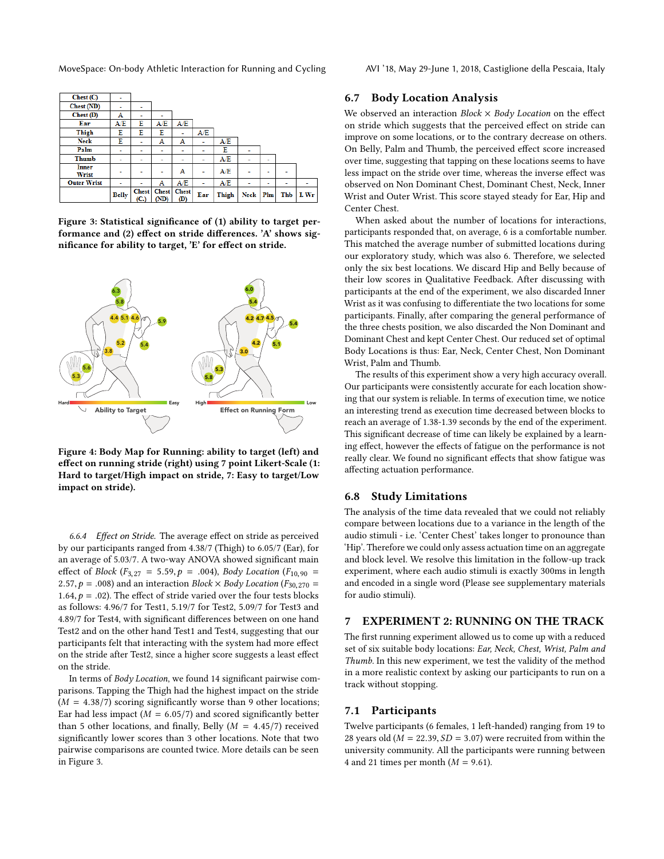<span id="page-4-1"></span>

| <b>Thumb</b><br><b>Inner</b><br>Wrist | $\overline{\phantom{0}}$<br>۰ | ۰ | -<br>۰ | -<br>А | ٠<br>- | A/E<br>A/E | ۰ | $\overline{\phantom{0}}$<br>۰ | ۰ |  |
|---------------------------------------|-------------------------------|---|--------|--------|--------|------------|---|-------------------------------|---|--|
|                                       |                               |   |        |        |        |            |   |                               |   |  |
| Palm                                  | ۰                             | ۰ | ۰      | ۰      |        | Е          | ۰ |                               |   |  |
| <b>Neck</b>                           | E                             | ٠ | А      | А      | ٠      | A/E        |   |                               |   |  |
| Thigh                                 | E                             | E | E      | ٠      | A/E    |            |   |                               |   |  |
| Ear                                   | A/E                           | E | A/E    | A/E    |        |            |   |                               |   |  |
| Chest (D)                             | A                             |   | -      |        |        |            |   |                               |   |  |
| Chest (ND)                            |                               |   |        |        |        |            |   |                               |   |  |
| Check(C)                              | ۰                             |   |        |        |        |            |   |                               |   |  |

Figure 3: Statistical significance of (1) ability to target performance and (2) effect on stride differences. 'A' shows significance for ability to target, 'E' for effect on stride.

<span id="page-4-0"></span>

Figure 4: Body Map for Running: ability to target (left) and effect on running stride (right) using 7 point Likert-Scale (1: Hard to target/High impact on stride, 7: Easy to target/Low impact on stride).

6.6.4 Effect on Stride. The average effect on stride as perceived by our participants ranged from 4.38/7 (Thigh) to 6.05/7 (Ear), for an average of 5.03/7. A two-way ANOVA showed significant main effect of *Block* ( $F_{3,27} = 5.59, p = .004$ ), *Body Location* ( $F_{10,90} =$ 2.57,  $p = .008$ ) and an interaction Block  $\times$  Body Location ( $F_{30,270}$  = 1.64,  $p = .02$ ). The effect of stride varied over the four tests blocks as follows: 4.96/7 for Test1, 5.19/7 for Test2, 5.09/7 for Test3 and 4.89/7 for Test4, with significant differences between on one hand Test2 and on the other hand Test1 and Test4, suggesting that our participants felt that interacting with the system had more effect on the stride after Test2, since a higher score suggests a least effect on the stride.

In terms of Body Location, we found 14 significant pairwise comparisons. Tapping the Thigh had the highest impact on the stride  $(M = 4.38/7)$  scoring significantly worse than 9 other locations; Ear had less impact ( $M = 6.05/7$ ) and scored significantly better than 5 other locations, and finally, Belly ( $M = 4.45/7$ ) received significantly lower scores than 3 other locations. Note that two pairwise comparisons are counted twice. More details can be seen in Figure [3.](#page-4-1)

#### 6.7 Body Location Analysis

We observed an interaction  $Block \times Body$  Location on the effect on stride which suggests that the perceived effect on stride can improve on some locations, or to the contrary decrease on others. On Belly, Palm and Thumb, the perceived effect score increased over time, suggesting that tapping on these locations seems to have less impact on the stride over time, whereas the inverse effect was observed on Non Dominant Chest, Dominant Chest, Neck, Inner Wrist and Outer Wrist. This score stayed steady for Ear, Hip and Center Chest.

When asked about the number of locations for interactions, participants responded that, on average, 6 is a comfortable number. This matched the average number of submitted locations during our exploratory study, which was also 6. Therefore, we selected only the six best locations. We discard Hip and Belly because of their low scores in Qualitative Feedback. After discussing with participants at the end of the experiment, we also discarded Inner Wrist as it was confusing to differentiate the two locations for some participants. Finally, after comparing the general performance of the three chests position, we also discarded the Non Dominant and Dominant Chest and kept Center Chest. Our reduced set of optimal Body Locations is thus: Ear, Neck, Center Chest, Non Dominant Wrist, Palm and Thumb.

The results of this experiment show a very high accuracy overall. Our participants were consistently accurate for each location showing that our system is reliable. In terms of execution time, we notice an interesting trend as execution time decreased between blocks to reach an average of 1.38-1.39 seconds by the end of the experiment. This significant decrease of time can likely be explained by a learning effect, however the effects of fatigue on the performance is not really clear. We found no significant effects that show fatigue was affecting actuation performance.

#### 6.8 Study Limitations

The analysis of the time data revealed that we could not reliably compare between locations due to a variance in the length of the audio stimuli - i.e. 'Center Chest' takes longer to pronounce than 'Hip'. Therefore we could only assess actuation time on an aggregate and block level. We resolve this limitation in the follow-up track experiment, where each audio stimuli is exactly 300ms in length and encoded in a single word (Please see supplementary materials for audio stimuli).

#### 7 EXPERIMENT 2: RUNNING ON THE TRACK

The first running experiment allowed us to come up with a reduced set of six suitable body locations: Ear, Neck, Chest, Wrist, Palm and Thumb. In this new experiment, we test the validity of the method in a more realistic context by asking our participants to run on a track without stopping.

#### 7.1 Participants

Twelve participants (6 females, 1 left-handed) ranging from 19 to 28 years old ( $M = 22.39$ ,  $SD = 3.07$ ) were recruited from within the university community. All the participants were running between 4 and 21 times per month  $(M = 9.61)$ .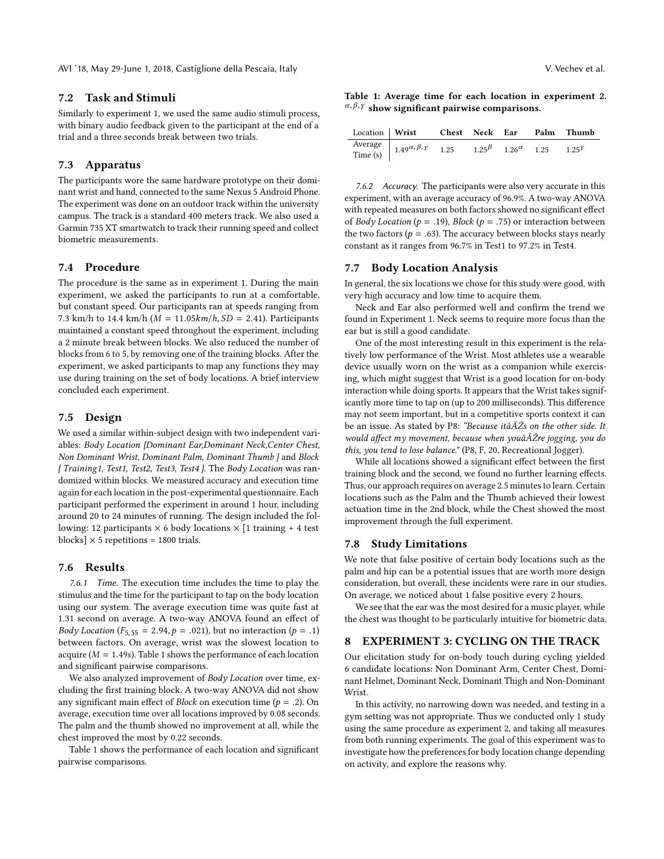AVI '18, May 29-June 1, 2018, Castiglione della Pescaia, Italy V. Vechev et al.

#### 7.2 Task and Stimuli

Similarly to experiment 1, we used the same audio stimuli process, with binary audio feedback given to the participant at the end of a trial and a three seconds break between two trials.

#### 7.3 Apparatus

The participants wore the same hardware prototype on their dominant wrist and hand, connected to the same Nexus 5 Android Phone. The experiment was done on an outdoor track within the university campus. The track is a standard 400 meters track. We also used a Garmin 735 XT smartwatch to track their running speed and collect biometric measurements.

### 7.4 Procedure

The procedure is the same as in experiment 1. During the main experiment, we asked the participants to run at a comfortable, but constant speed. Our participants ran at speeds ranging from 7.3 km/h to 14.4 km/h ( $M = 11.05 km/h$ ,  $SD = 2.41$ ). Participants maintained a constant speed throughout the experiment, including a 2 minute break between blocks. We also reduced the number of blocks from 6 to 5, by removing one of the training blocks. After the experiment, we asked participants to map any functions they may use during training on the set of body locations. A brief interview concluded each experiment.

#### 7.5 Design

We used a similar within-subject design with two independent variables: Body Location {Dominant Ear,Dominant Neck,Center Chest, Non Dominant Wrist, Dominant Palm, Dominant Thumb } and Block { Training1, Test1, Test2, Test3, Test4 }. The Body Location was randomized within blocks. We measured accuracy and execution time again for each location in the post-experimental questionnaire. Each participant performed the experiment in around 1 hour, including around 20 to 24 minutes of running. The design included the following: 12 participants  $\times$  6 body locations  $\times$  [1 training + 4 test blocks]  $\times$  5 repetitions = 1800 trials.

#### 7.6 Results

7.6.1 Time. The execution time includes the time to play the stimulus and the time for the participant to tap on the body location using our system. The average execution time was quite fast at 1.31 second on average. A two-way ANOVA found an effect of *Body Location* ( $F_{5,55} = 2.94, p = .021$ ), but no interaction ( $p = .1$ ) between factors. On average, wrist was the slowest location to acquire ( $M = 1.49$  $M = 1.49$  $M = 1.49$ s). Table 1 shows the performance of each location and significant pairwise comparisons.

We also analyzed improvement of Body Location over time, excluding the first training block. A two-way ANOVA did not show any significant main effect of *Block* on execution time ( $p = .2$ ). On average, execution time over all locations improved by 0.08 seconds. The palm and the thumb showed no improvement at all, while the chest improved the most by 0.22 seconds.

Table [1](#page-5-0) shows the performance of each location and significant pairwise comparisons.

<span id="page-5-0"></span>Table 1: Average time for each location in experiment 2.  $\alpha, \beta, \gamma$  show significant pairwise comparisons.

| Location Wrist |                                                                                 | <b>Chest Neck Ear</b> |  | Palm Thumb |
|----------------|---------------------------------------------------------------------------------|-----------------------|--|------------|
|                | Average 1.49 $\alpha$ , $\beta$ , $\gamma$ 1.25 1.25 $\beta$ 1.26 $\alpha$ 1.25 |                       |  | 1.25Y      |

7.6.2 Accuracy. The participants were also very accurate in this experiment, with an average accuracy of 96.9%. A two-way ANOVA with repeated measures on both factors showed no significant effect of Body Location ( $p = .19$ ), Block ( $p = .75$ ) or interaction between the two factors ( $p = .63$ ). The accuracy between blocks stays nearly constant as it ranges from 96.7% in Test1 to 97.2% in Test4.

#### 7.7 Body Location Analysis

In general, the six locations we chose for this study were good, with very high accuracy and low time to acquire them.

Neck and Ear also performed well and confirm the trend we found in Experiment 1. Neck seems to require more focus than the ear but is still a good candidate.

One of the most interesting result in this experiment is the relatively low performance of the Wrist. Most athletes use a wearable device usually worn on the wrist as a companion while exercising, which might suggest that Wrist is a good location for on-body interaction while doing sports. It appears that the Wrist takes significantly more time to tap on (up to 200 milliseconds). This difference may not seem important, but in a competitive sports context it can be an issue. As stated by P8: "Because itâ $\tilde{A}Z$ s on the other side. It would affect my movement, because when youâĂŹre jogging, you do this, you tend to lose balance." (P8, F, 20, Recreational Jogger).

While all locations showed a significant effect between the first training block and the second, we found no further learning effects. Thus, our approach requires on average 2.5 minutes to learn. Certain locations such as the Palm and the Thumb achieved their lowest actuation time in the 2nd block, while the Chest showed the most improvement through the full experiment.

#### 7.8 Study Limitations

We note that false positive of certain body locations such as the palm and hip can be a potential issues that are worth more design consideration, but overall, these incidents were rare in our studies. On average, we noticed about 1 false positive every 2 hours.

We see that the ear was the most desired for a music player, while the chest was thought to be particularly intuitive for biometric data.

#### **EXPERIMENT 3: CYCLING ON THE TRACK**

Our elicitation study for on-body touch during cycling yielded 6 candidate locations: Non Dominant Arm, Center Chest, Dominant Helmet, Dominant Neck, Dominant Thigh and Non-Dominant Wrist

In this activity, no narrowing down was needed, and testing in a gym setting was not appropriate. Thus we conducted only 1 study using the same procedure as experiment 2, and taking all measures from both running experiments. The goal of this experiment was to investigate how the preferences for body location change depending on activity, and explore the reasons why.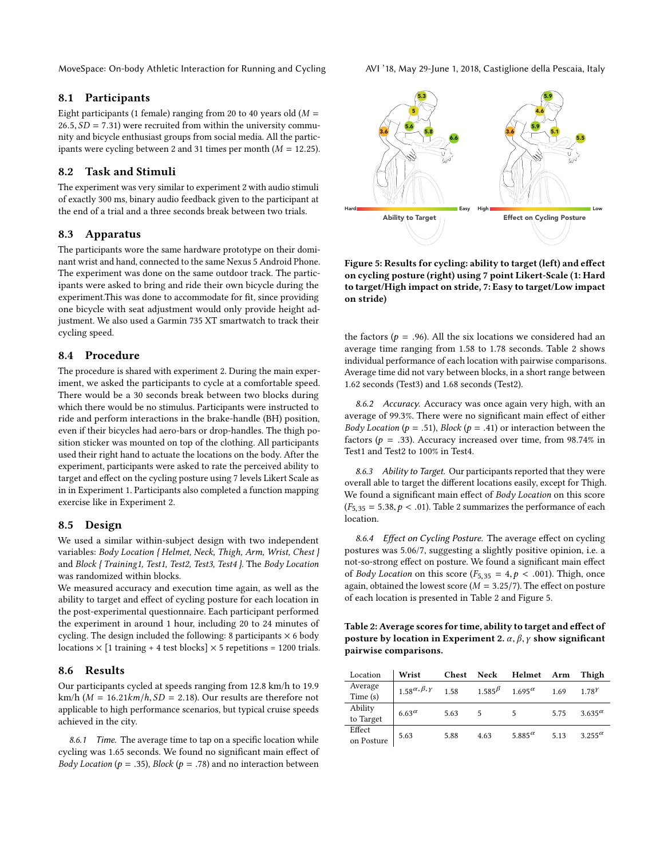#### 8.1 Participants

Eight participants (1 female) ranging from 20 to 40 years old ( $M =$  $26.5, SD = 7.31$ ) were recruited from within the university community and bicycle enthusiast groups from social media. All the participants were cycling between 2 and 31 times per month  $(M = 12.25)$ .

### 8.2 Task and Stimuli

The experiment was very similar to experiment 2 with audio stimuli of exactly 300 ms, binary audio feedback given to the participant at the end of a trial and a three seconds break between two trials.

#### 8.3 Apparatus

The participants wore the same hardware prototype on their dominant wrist and hand, connected to the same Nexus 5 Android Phone. The experiment was done on the same outdoor track. The participants were asked to bring and ride their own bicycle during the experiment.This was done to accommodate for fit, since providing one bicycle with seat adjustment would only provide height adjustment. We also used a Garmin 735 XT smartwatch to track their cycling speed.

# 8.4 Procedure

The procedure is shared with experiment 2. During the main experiment, we asked the participants to cycle at a comfortable speed. There would be a 30 seconds break between two blocks during which there would be no stimulus. Participants were instructed to ride and perform interactions in the brake-handle (BH) position, even if their bicycles had aero-bars or drop-handles. The thigh position sticker was mounted on top of the clothing. All participants used their right hand to actuate the locations on the body. After the experiment, participants were asked to rate the perceived ability to target and effect on the cycling posture using 7 levels Likert Scale as in in Experiment 1. Participants also completed a function mapping exercise like in Experiment 2.

#### 8.5 Design

We used a similar within-subject design with two independent variables: Body Location { Helmet, Neck, Thigh, Arm, Wrist, Chest } and Block { Training1, Test1, Test2, Test3, Test4 }. The Body Location was randomized within blocks.

We measured accuracy and execution time again, as well as the ability to target and effect of cycling posture for each location in the post-experimental questionnaire. Each participant performed the experiment in around 1 hour, including 20 to 24 minutes of cycling. The design included the following: 8 participants  $\times$  6 body locations  $\times$  [1 training + 4 test blocks]  $\times$  5 repetitions = 1200 trials.

#### 8.6 Results

Our participants cycled at speeds ranging from 12.8 km/h to 19.9 km/h ( $M = 16.21km/h$ ,  $SD = 2.18$ ). Our results are therefore not applicable to high performance scenarios, but typical cruise speeds achieved in the city.

8.6.1 Time. The average time to tap on a specific location while cycling was 1.65 seconds. We found no significant main effect of *Body Location* ( $p = .35$ ), *Block* ( $p = .78$ ) and no interaction between

<span id="page-6-1"></span>

Figure 5: Results for cycling: ability to target (left) and effect on cycling posture (right) using 7 point Likert-Scale (1: Hard to target/High impact on stride, 7: Easy to target/Low impact on stride)

the factors ( $p = .96$ ). All the six locations we considered had an average time ranging from 1.58 to 1.78 seconds. Table [2](#page-6-0) shows individual performance of each location with pairwise comparisons. Average time did not vary between blocks, in a short range between 1.62 seconds (Test3) and 1.68 seconds (Test2).

8.6.2 Accuracy. Accuracy was once again very high, with an average of 99.3%. There were no significant main effect of either Body Location ( $p = .51$ ), Block ( $p = .41$ ) or interaction between the factors ( $p = .33$ ). Accuracy increased over time, from 98.74% in Test1 and Test2 to 100% in Test4.

8.6.3 Ability to Target. Our participants reported that they were overall able to target the different locations easily, except for Thigh. We found a significant main effect of Body Location on this score  $(F_{5,35} = 5.38, p < .01)$ . Table [2](#page-6-0) summarizes the performance of each location.

8.6.4 Effect on Cycling Posture. The average effect on cycling postures was 5.06/7, suggesting a slightly positive opinion, i.e. a not-so-strong effect on posture. We found a significant main effect of *Body Location* on this score ( $F_{5,35} = 4, p < .001$ ). Thigh, once again, obtained the lowest score ( $M = 3.25/7$ ). The effect on posture of each location is presented in Table [2](#page-6-0) and Figure [5.](#page-6-1)

<span id="page-6-0"></span>Table 2: Average scores for time, ability to target and effect of posture by location in Experiment 2.  $\alpha$ ,  $\beta$ ,  $\gamma$  show significant pairwise comparisons.

| Location             | Wrist                        | Chest | Neck          | Helmet           | Arm  | Thigh            |
|----------------------|------------------------------|-------|---------------|------------------|------|------------------|
| Average<br>Time(s)   | $1.58^{\alpha,\beta,\gamma}$ | 1.58  | $1.585^\beta$ | $1.695^{\alpha}$ | 1.69 | 1.78Y            |
| Ability<br>to Target | $6.63^{\alpha}$              | 5.63  | 5             | 5                | 5.75 | $3.635^{\alpha}$ |
| Effect<br>on Posture | 5.63                         | 5.88  | 4.63          | 5.885 $\alpha$   | 5.13 | $3.255^{\alpha}$ |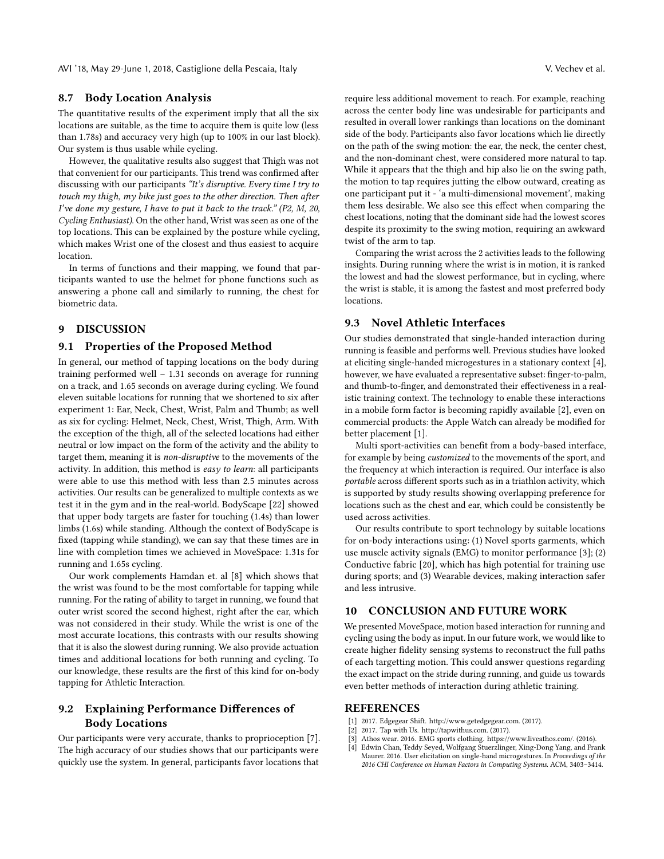AVI '18, May 29-June 1, 2018, Castiglione della Pescaia, Italy V. Vechev et al.

# 8.7 Body Location Analysis

The quantitative results of the experiment imply that all the six locations are suitable, as the time to acquire them is quite low (less than 1.78s) and accuracy very high (up to 100% in our last block). Our system is thus usable while cycling.

However, the qualitative results also suggest that Thigh was not that convenient for our participants. This trend was confirmed after discussing with our participants "It's disruptive. Every time I try to touch my thigh, my bike just goes to the other direction. Then after I've done my gesture, I have to put it back to the track." (P2, M, 20, Cycling Enthusiast). On the other hand, Wrist was seen as one of the top locations. This can be explained by the posture while cycling, which makes Wrist one of the closest and thus easiest to acquire location.

In terms of functions and their mapping, we found that participants wanted to use the helmet for phone functions such as answering a phone call and similarly to running, the chest for biometric data.

#### 9 DISCUSSION

#### 9.1 Properties of the Proposed Method

In general, our method of tapping locations on the body during training performed well – 1.31 seconds on average for running on a track, and 1.65 seconds on average during cycling. We found eleven suitable locations for running that we shortened to six after experiment 1: Ear, Neck, Chest, Wrist, Palm and Thumb; as well as six for cycling: Helmet, Neck, Chest, Wrist, Thigh, Arm. With the exception of the thigh, all of the selected locations had either neutral or low impact on the form of the activity and the ability to target them, meaning it is non-disruptive to the movements of the activity. In addition, this method is easy to learn: all participants were able to use this method with less than 2.5 minutes across activities. Our results can be generalized to multiple contexts as we test it in the gym and in the real-world. BodyScape [\[22\]](#page-8-20) showed that upper body targets are faster for touching (1.4s) than lower limbs (1.6s) while standing. Although the context of BodyScape is fixed (tapping while standing), we can say that these times are in line with completion times we achieved in MoveSpace: 1.31s for running and 1.65s cycling.

Our work complements Hamdan et. al [\[8\]](#page-8-19) which shows that the wrist was found to be the most comfortable for tapping while running. For the rating of ability to target in running, we found that outer wrist scored the second highest, right after the ear, which was not considered in their study. While the wrist is one of the most accurate locations, this contrasts with our results showing that it is also the slowest during running. We also provide actuation times and additional locations for both running and cycling. To our knowledge, these results are the first of this kind for on-body tapping for Athletic Interaction.

# 9.2 Explaining Performance Differences of Body Locations

Our participants were very accurate, thanks to proprioception [\[7\]](#page-8-9). The high accuracy of our studies shows that our participants were quickly use the system. In general, participants favor locations that

require less additional movement to reach. For example, reaching across the center body line was undesirable for participants and resulted in overall lower rankings than locations on the dominant side of the body. Participants also favor locations which lie directly on the path of the swing motion: the ear, the neck, the center chest, and the non-dominant chest, were considered more natural to tap. While it appears that the thigh and hip also lie on the swing path, the motion to tap requires jutting the elbow outward, creating as one participant put it - 'a multi-dimensional movement', making them less desirable. We also see this effect when comparing the chest locations, noting that the dominant side had the lowest scores despite its proximity to the swing motion, requiring an awkward twist of the arm to tap.

Comparing the wrist across the 2 activities leads to the following insights. During running where the wrist is in motion, it is ranked the lowest and had the slowest performance, but in cycling, where the wrist is stable, it is among the fastest and most preferred body locations.

#### 9.3 Novel Athletic Interfaces

Our studies demonstrated that single-handed interaction during running is feasible and performs well. Previous studies have looked at eliciting single-handed microgestures in a stationary context [\[4\]](#page-7-0), however, we have evaluated a representative subset: finger-to-palm, and thumb-to-finger, and demonstrated their effectiveness in a realistic training context. The technology to enable these interactions in a mobile form factor is becoming rapidly available [\[2\]](#page-7-1), even on commercial products: the Apple Watch can already be modified for better placement [\[1\]](#page-7-2).

Multi sport-activities can benefit from a body-based interface, for example by being customized to the movements of the sport, and the frequency at which interaction is required. Our interface is also portable across different sports such as in a triathlon activity, which is supported by study results showing overlapping preference for locations such as the chest and ear, which could be consistently be used across activities.

Our results contribute to sport technology by suitable locations for on-body interactions using: (1) Novel sports garments, which use muscle activity signals (EMG) to monitor performance [\[3\]](#page-7-3); (2) Conductive fabric [\[20\]](#page-8-2), which has high potential for training use during sports; and (3) Wearable devices, making interaction safer and less intrusive.

### 10 CONCLUSION AND FUTURE WORK

We presented MoveSpace, motion based interaction for running and cycling using the body as input. In our future work, we would like to create higher fidelity sensing systems to reconstruct the full paths of each targetting motion. This could answer questions regarding the exact impact on the stride during running, and guide us towards even better methods of interaction during athletic training.

#### REFERENCES

- <span id="page-7-2"></span>[1] 2017. Edgegear Shift. [http://www.getedgegear.com.](http://www.getedgegear.com ) (2017).
- <span id="page-7-1"></span>2017. Tap with Us. [http://tapwithus.com.](http://tapwithus.com ) (2017).
- <span id="page-7-3"></span>[3] Athos wear. 2016. EMG sports clothing. [https://www.liveathos.com/.](https://www.liveathos.com/) (2016).
- <span id="page-7-0"></span>[4] Edwin Chan, Teddy Seyed, Wolfgang Stuerzlinger, Xing-Dong Yang, and Frank Maurer. 2016. User elicitation on single-hand microgestures. In Proceedings of the 2016 CHI Conference on Human Factors in Computing Systems. ACM, 3403–3414.